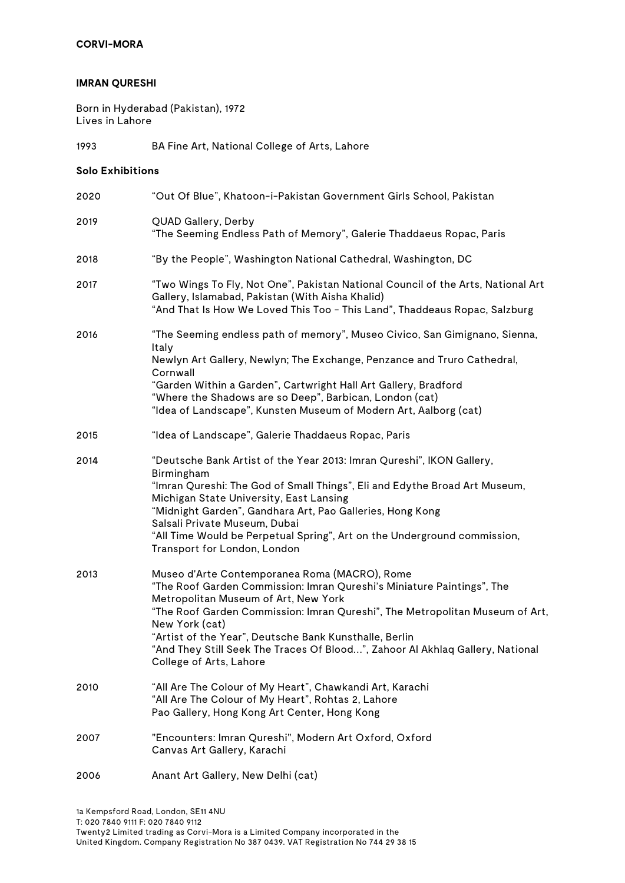## **CORVI-MORA**

#### **IMRAN QURESHI**

Born in Hyderabad (Pakistan), 1972 Lives in Lahore

1993 BA Fine Art, National College of Arts, Lahore

#### **Solo Exhibitions**

| 2020 | "Out Of Blue", Khatoon-i-Pakistan Government Girls School, Pakistan                                                                                                                                                                                                                                                                                                                                                                     |
|------|-----------------------------------------------------------------------------------------------------------------------------------------------------------------------------------------------------------------------------------------------------------------------------------------------------------------------------------------------------------------------------------------------------------------------------------------|
| 2019 | QUAD Gallery, Derby<br>"The Seeming Endless Path of Memory", Galerie Thaddaeus Ropac, Paris                                                                                                                                                                                                                                                                                                                                             |
| 2018 | "By the People", Washington National Cathedral, Washington, DC                                                                                                                                                                                                                                                                                                                                                                          |
| 2017 | "Two Wings To Fly, Not One", Pakistan National Council of the Arts, National Art<br>Gallery, Islamabad, Pakistan (With Aisha Khalid)<br>"And That Is How We Loved This Too - This Land", Thaddeaus Ropac, Salzburg                                                                                                                                                                                                                      |
| 2016 | "The Seeming endless path of memory", Museo Civico, San Gimignano, Sienna,<br>Italy<br>Newlyn Art Gallery, Newlyn; The Exchange, Penzance and Truro Cathedral,<br>Cornwall<br>"Garden Within a Garden", Cartwright Hall Art Gallery, Bradford<br>"Where the Shadows are so Deep", Barbican, London (cat)<br>"Idea of Landscape", Kunsten Museum of Modern Art, Aalborg (cat)                                                            |
| 2015 | "Idea of Landscape", Galerie Thaddaeus Ropac, Paris                                                                                                                                                                                                                                                                                                                                                                                     |
| 2014 | "Deutsche Bank Artist of the Year 2013: Imran Qureshi", IKON Gallery,<br>Birmingham<br>"Imran Qureshi: The God of Small Things", Eli and Edythe Broad Art Museum,<br>Michigan State University, East Lansing<br>"Midnight Garden", Gandhara Art, Pao Galleries, Hong Kong<br>Salsali Private Museum, Dubai<br>"All Time Would be Perpetual Spring", Art on the Underground commission,<br>Transport for London, London                  |
| 2013 | Museo d'Arte Contemporanea Roma (MACRO), Rome<br>"The Roof Garden Commission: Imran Qureshi's Miniature Paintings", The<br>Metropolitan Museum of Art, New York<br>"The Roof Garden Commission: Imran Qureshi", The Metropolitan Museum of Art,<br>New York (cat)<br>"Artist of the Year", Deutsche Bank Kunsthalle, Berlin<br>"And They Still Seek The Traces Of Blood", Zahoor Al Akhlaq Gallery, National<br>College of Arts, Lahore |
| 2010 | "All Are The Colour of My Heart", Chawkandi Art, Karachi<br>"All Are The Colour of My Heart", Rohtas 2, Lahore<br>Pao Gallery, Hong Kong Art Center, Hong Kong                                                                                                                                                                                                                                                                          |
| 2007 | "Encounters: Imran Qureshi", Modern Art Oxford, Oxford<br>Canvas Art Gallery, Karachi                                                                                                                                                                                                                                                                                                                                                   |
| 2006 | Anant Art Gallery, New Delhi (cat)                                                                                                                                                                                                                                                                                                                                                                                                      |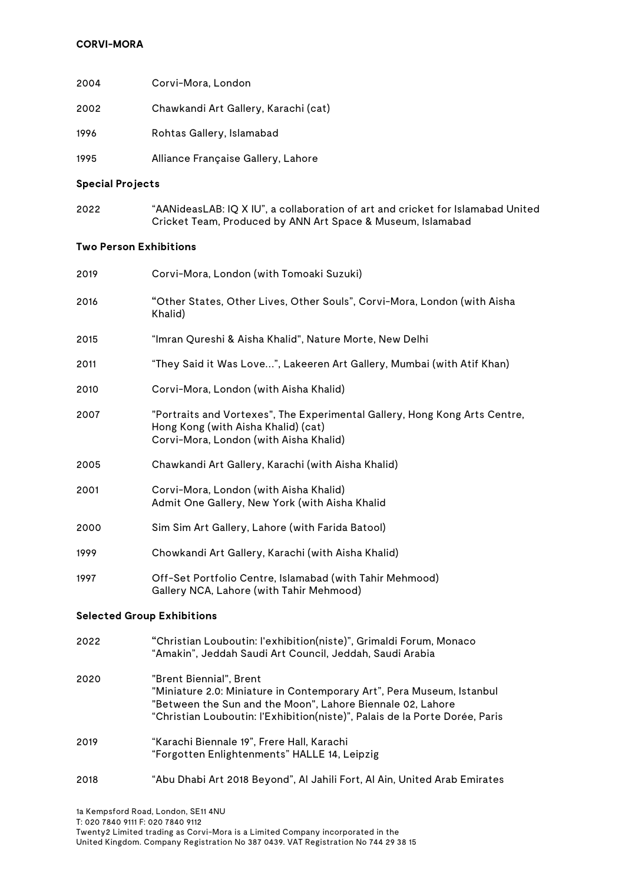## **CORVI-MORA**

| 2004 | Corvi-Mora, London                   |
|------|--------------------------------------|
| 2002 | Chawkandi Art Gallery, Karachi (cat) |
| 1996 | Rohtas Gallery, Islamabad            |
| 1995 | Alliance Française Gallery, Lahore   |

#### **Special Projects**

2022 "AANideasLAB: IQ X IU", a collaboration of art and cricket for Islamabad United Cricket Team, Produced by ANN Art Space & Museum, Islamabad

#### **Two Person Exhibitions**

| 2019                              | Corvi-Mora, London (with Tomoaki Suzuki)                                                                                                                                                                                                      |
|-----------------------------------|-----------------------------------------------------------------------------------------------------------------------------------------------------------------------------------------------------------------------------------------------|
| 2016                              | "Other States, Other Lives, Other Souls", Corvi-Mora, London (with Aisha<br>Khalid)                                                                                                                                                           |
| 2015                              | "Imran Qureshi & Aisha Khalid", Nature Morte, New Delhi                                                                                                                                                                                       |
| 2011                              | "They Said it Was Love", Lakeeren Art Gallery, Mumbai (with Atif Khan)                                                                                                                                                                        |
| 2010                              | Corvi-Mora, London (with Aisha Khalid)                                                                                                                                                                                                        |
| 2007                              | "Portraits and Vortexes", The Experimental Gallery, Hong Kong Arts Centre,<br>Hong Kong (with Aisha Khalid) (cat)<br>Corvi-Mora, London (with Aisha Khalid)                                                                                   |
| 2005                              | Chawkandi Art Gallery, Karachi (with Aisha Khalid)                                                                                                                                                                                            |
| 2001                              | Corvi-Mora, London (with Aisha Khalid)<br>Admit One Gallery, New York (with Aisha Khalid                                                                                                                                                      |
| 2000                              | Sim Sim Art Gallery, Lahore (with Farida Batool)                                                                                                                                                                                              |
| 1999                              | Chowkandi Art Gallery, Karachi (with Aisha Khalid)                                                                                                                                                                                            |
| 1997                              | Off-Set Portfolio Centre, Islamabad (with Tahir Mehmood)<br>Gallery NCA, Lahore (with Tahir Mehmood)                                                                                                                                          |
| <b>Selected Group Exhibitions</b> |                                                                                                                                                                                                                                               |
| 2022                              | "Christian Louboutin: l'exhibition(niste)", Grimaldi Forum, Monaco<br>"Amakin", Jeddah Saudi Art Council, Jeddah, Saudi Arabia                                                                                                                |
| 2020                              | "Brent Biennial", Brent<br>"Miniature 2.0: Miniature in Contemporary Art", Pera Museum, Istanbul<br>"Between the Sun and the Moon", Lahore Biennale 02, Lahore<br>"Christian Louboutin: l'Exhibition(niste)", Palais de la Porte Dorée, Paris |
| 2019                              | "Karachi Biennale 19", Frere Hall, Karachi<br>"Forgotten Enlightenments" HALLE 14, Leipzig                                                                                                                                                    |

2018 "Abu Dhabi Art 2018 Beyond", Al Jahili Fort, Al Ain, United Arab Emirates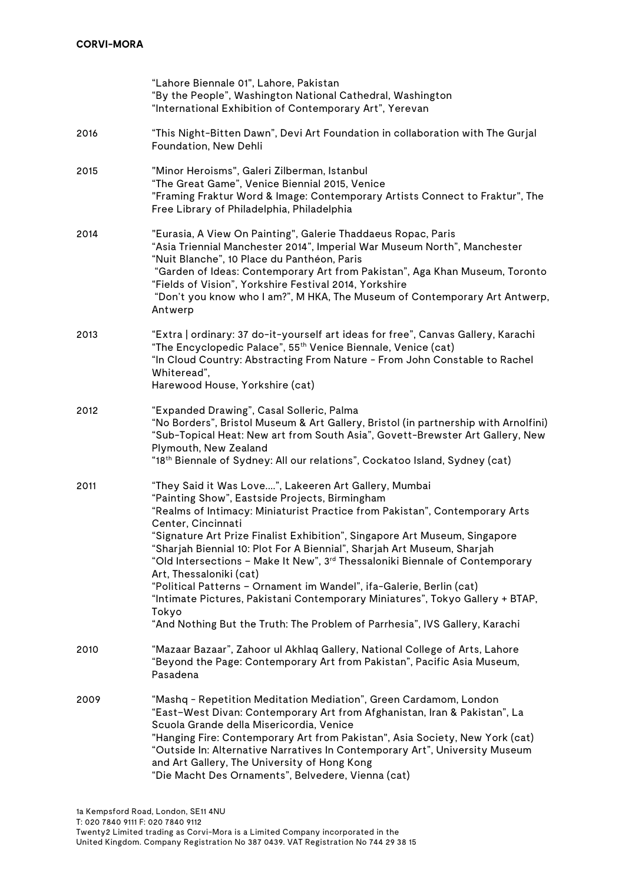|      | "Lahore Biennale 01", Lahore, Pakistan<br>"By the People", Washington National Cathedral, Washington<br>"International Exhibition of Contemporary Art", Yerevan                                                                                                                                                                                                                                                                                                                                                                                                                                                                                                                                                                               |
|------|-----------------------------------------------------------------------------------------------------------------------------------------------------------------------------------------------------------------------------------------------------------------------------------------------------------------------------------------------------------------------------------------------------------------------------------------------------------------------------------------------------------------------------------------------------------------------------------------------------------------------------------------------------------------------------------------------------------------------------------------------|
| 2016 | "This Night-Bitten Dawn", Devi Art Foundation in collaboration with The Gurjal<br>Foundation, New Dehli                                                                                                                                                                                                                                                                                                                                                                                                                                                                                                                                                                                                                                       |
| 2015 | "Minor Heroisms", Galeri Zilberman, Istanbul<br>"The Great Game", Venice Biennial 2015, Venice<br>"Framing Fraktur Word & Image: Contemporary Artists Connect to Fraktur", The<br>Free Library of Philadelphia, Philadelphia                                                                                                                                                                                                                                                                                                                                                                                                                                                                                                                  |
| 2014 | "Eurasia, A View On Painting", Galerie Thaddaeus Ropac, Paris<br>"Asia Triennial Manchester 2014", Imperial War Museum North", Manchester<br>"Nuit Blanche", 10 Place du Panthéon, Paris<br>"Garden of Ideas: Contemporary Art from Pakistan", Aga Khan Museum, Toronto<br>"Fields of Vision", Yorkshire Festival 2014, Yorkshire<br>"Don't you know who I am?", M HKA, The Museum of Contemporary Art Antwerp,<br>Antwerp                                                                                                                                                                                                                                                                                                                    |
| 2013 | "Extra   ordinary: 37 do-it-yourself art ideas for free", Canvas Gallery, Karachi<br>"The Encyclopedic Palace", 55 <sup>th</sup> Venice Biennale, Venice (cat)<br>"In Cloud Country: Abstracting From Nature - From John Constable to Rachel<br>Whiteread",<br>Harewood House, Yorkshire (cat)                                                                                                                                                                                                                                                                                                                                                                                                                                                |
| 2012 | "Expanded Drawing", Casal Solleric, Palma<br>"No Borders", Bristol Museum & Art Gallery, Bristol (in partnership with Arnolfini)<br>"Sub-Topical Heat: New art from South Asia", Govett-Brewster Art Gallery, New<br>Plymouth, New Zealand<br>"18 <sup>th</sup> Biennale of Sydney: All our relations", Cockatoo Island, Sydney (cat)                                                                                                                                                                                                                                                                                                                                                                                                         |
| 2011 | "They Said it Was Love", Lakeeren Art Gallery, Mumbai<br>"Painting Show", Eastside Projects, Birmingham<br>"Realms of Intimacy: Miniaturist Practice from Pakistan", Contemporary Arts<br>Center, Cincinnati<br>"Signature Art Prize Finalist Exhibition", Singapore Art Museum, Singapore<br>"Sharjah Biennial 10: Plot For A Biennial", Sharjah Art Museum, Sharjah<br>"Old Intersections - Make It New", 3 <sup>rd</sup> Thessaloniki Biennale of Contemporary<br>Art, Thessaloniki (cat)<br>"Political Patterns – Ornament im Wandel", ifa-Galerie, Berlin (cat)<br>"Intimate Pictures, Pakistani Contemporary Miniatures", Tokyo Gallery + BTAP,<br>Tokyo<br>"And Nothing But the Truth: The Problem of Parrhesia", IVS Gallery, Karachi |
| 2010 | "Mazaar Bazaar", Zahoor ul Akhlaq Gallery, National College of Arts, Lahore<br>"Beyond the Page: Contemporary Art from Pakistan", Pacific Asia Museum,<br>Pasadena                                                                                                                                                                                                                                                                                                                                                                                                                                                                                                                                                                            |
| 2009 | "Mashq - Repetition Meditation Mediation", Green Cardamom, London<br>"East–West Divan: Contemporary Art from Afghanistan, Iran & Pakistan", La<br>Scuola Grande della Misericordia, Venice<br>"Hanging Fire: Contemporary Art from Pakistan", Asia Society, New York (cat)<br>"Outside In: Alternative Narratives In Contemporary Art", University Museum<br>and Art Gallery, The University of Hong Kong<br>"Die Macht Des Ornaments", Belvedere, Vienna (cat)                                                                                                                                                                                                                                                                               |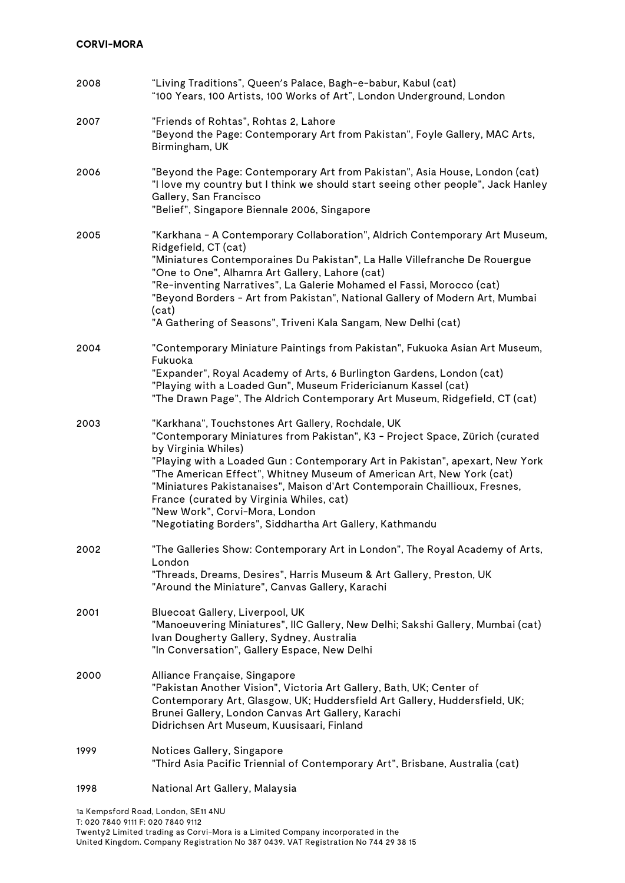# **CORVI-MORA**

| 2008 | "Living Traditions", Queen's Palace, Bagh-e-babur, Kabul (cat)<br>"100 Years, 100 Artists, 100 Works of Art", London Underground, London                                                                                                                                                                                                                                                                                                                                                                                                   |
|------|--------------------------------------------------------------------------------------------------------------------------------------------------------------------------------------------------------------------------------------------------------------------------------------------------------------------------------------------------------------------------------------------------------------------------------------------------------------------------------------------------------------------------------------------|
| 2007 | "Friends of Rohtas", Rohtas 2, Lahore<br>"Beyond the Page: Contemporary Art from Pakistan", Foyle Gallery, MAC Arts,<br>Birmingham, UK                                                                                                                                                                                                                                                                                                                                                                                                     |
| 2006 | "Beyond the Page: Contemporary Art from Pakistan", Asia House, London (cat)<br>"I love my country but I think we should start seeing other people", Jack Hanley<br>Gallery, San Francisco<br>"Belief", Singapore Biennale 2006, Singapore                                                                                                                                                                                                                                                                                                  |
| 2005 | "Karkhana - A Contemporary Collaboration", Aldrich Contemporary Art Museum,<br>Ridgefield, CT (cat)<br>"Miniatures Contemporaines Du Pakistan", La Halle Villefranche De Rouergue<br>"One to One", Alhamra Art Gallery, Lahore (cat)<br>"Re-inventing Narratives", La Galerie Mohamed el Fassi, Morocco (cat)<br>"Beyond Borders - Art from Pakistan", National Gallery of Modern Art, Mumbai<br>(cat)<br>"A Gathering of Seasons", Triveni Kala Sangam, New Delhi (cat)                                                                   |
| 2004 | "Contemporary Miniature Paintings from Pakistan", Fukuoka Asian Art Museum,<br>Fukuoka<br>"Expander", Royal Academy of Arts, 6 Burlington Gardens, London (cat)<br>"Playing with a Loaded Gun", Museum Fridericianum Kassel (cat)<br>"The Drawn Page", The Aldrich Contemporary Art Museum, Ridgefield, CT (cat)                                                                                                                                                                                                                           |
| 2003 | "Karkhana", Touchstones Art Gallery, Rochdale, UK<br>"Contemporary Miniatures from Pakistan", K3 - Project Space, Zürich (curated<br>by Virginia Whiles)<br>"Playing with a Loaded Gun : Contemporary Art in Pakistan", apexart, New York<br>"The American Effect", Whitney Museum of American Art, New York (cat)<br>"Miniatures Pakistanaises", Maison d'Art Contemporain Chaillioux, Fresnes,<br>France (curated by Virginia Whiles, cat)<br>"New Work", Corvi-Mora, London<br>"Negotiating Borders", Siddhartha Art Gallery, Kathmandu |
| 2002 | "The Galleries Show: Contemporary Art in London", The Royal Academy of Arts,<br>London<br>"Threads, Dreams, Desires", Harris Museum & Art Gallery, Preston, UK<br>"Around the Miniature", Canvas Gallery, Karachi                                                                                                                                                                                                                                                                                                                          |
| 2001 | Bluecoat Gallery, Liverpool, UK<br>"Manoeuvering Miniatures", IIC Gallery, New Delhi; Sakshi Gallery, Mumbai (cat)<br>Ivan Dougherty Gallery, Sydney, Australia<br>"In Conversation", Gallery Espace, New Delhi                                                                                                                                                                                                                                                                                                                            |
| 2000 | Alliance Française, Singapore<br>"Pakistan Another Vision", Victoria Art Gallery, Bath, UK; Center of<br>Contemporary Art, Glasgow, UK; Huddersfield Art Gallery, Huddersfield, UK;<br>Brunei Gallery, London Canvas Art Gallery, Karachi<br>Didrichsen Art Museum, Kuusisaari, Finland                                                                                                                                                                                                                                                    |
| 1999 | Notices Gallery, Singapore<br>"Third Asia Pacific Triennial of Contemporary Art", Brisbane, Australia (cat)                                                                                                                                                                                                                                                                                                                                                                                                                                |
| 1998 | National Art Gallery, Malaysia                                                                                                                                                                                                                                                                                                                                                                                                                                                                                                             |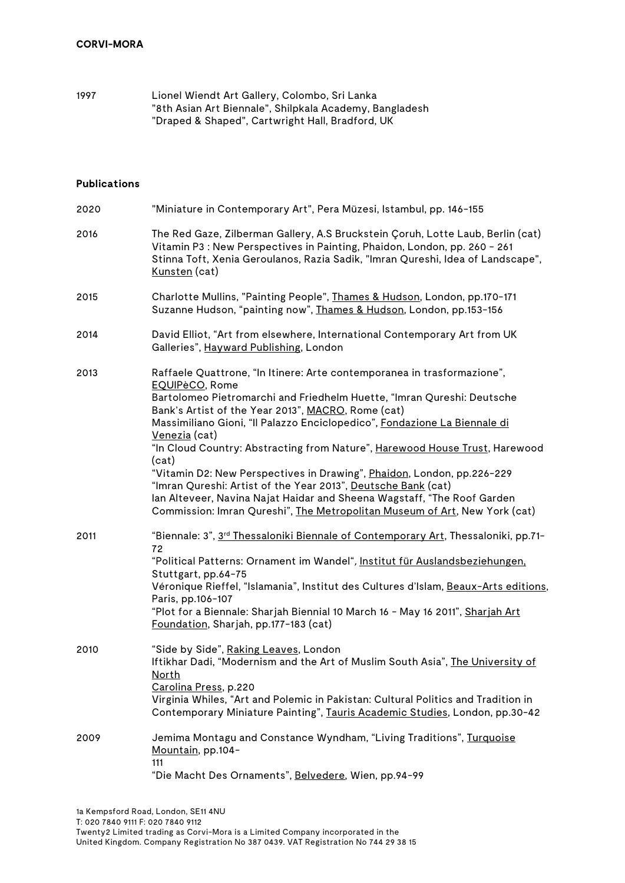1997 Lionel Wiendt Art Gallery, Colombo, Sri Lanka "8th Asian Art Biennale", Shilpkala Academy, Bangladesh "Draped & Shaped", Cartwright Hall, Bradford, UK

#### **Publications**

| 2020 | "Miniature in Contemporary Art", Pera Müzesi, Istambul, pp. 146-155                                                                                                                                                                                                                                                                                                                                                                                                                                                                                                                                                                                                                                                 |
|------|---------------------------------------------------------------------------------------------------------------------------------------------------------------------------------------------------------------------------------------------------------------------------------------------------------------------------------------------------------------------------------------------------------------------------------------------------------------------------------------------------------------------------------------------------------------------------------------------------------------------------------------------------------------------------------------------------------------------|
| 2016 | The Red Gaze, Zilberman Gallery, A.S Bruckstein Çoruh, Lotte Laub, Berlin (cat)<br>Vitamin P3 : New Perspectives in Painting, Phaidon, London, pp. 260 - 261<br>Stinna Toft, Xenia Geroulanos, Razia Sadik, "Imran Qureshi, Idea of Landscape",<br>Kunsten (cat)                                                                                                                                                                                                                                                                                                                                                                                                                                                    |
| 2015 | Charlotte Mullins, "Painting People", Thames & Hudson, London, pp.170-171<br>Suzanne Hudson, "painting now", Thames & Hudson, London, pp.153-156                                                                                                                                                                                                                                                                                                                                                                                                                                                                                                                                                                    |
| 2014 | David Elliot, "Art from elsewhere, International Contemporary Art from UK<br>Galleries", Hayward Publishing, London                                                                                                                                                                                                                                                                                                                                                                                                                                                                                                                                                                                                 |
| 2013 | Raffaele Quattrone, "In Itinere: Arte contemporanea in trasformazione",<br>EQUIPèCO, Rome<br>Bartolomeo Pietromarchi and Friedhelm Huette, "Imran Qureshi: Deutsche<br>Bank's Artist of the Year 2013", MACRO, Rome (cat)<br>Massimiliano Gioni, "Il Palazzo Enciclopedico", Fondazione La Biennale di<br>Venezia (cat)<br>"In Cloud Country: Abstracting from Nature", Harewood House Trust, Harewood<br>(cat)<br>"Vitamin D2: New Perspectives in Drawing", Phaidon, London, pp.226-229<br>"Imran Qureshi: Artist of the Year 2013", Deutsche Bank (cat)<br>lan Alteveer, Navina Najat Haidar and Sheena Wagstaff, "The Roof Garden<br>Commission: Imran Qureshi", The Metropolitan Museum of Art, New York (cat) |
| 2011 | "Biennale: 3", 3 <sup>rd</sup> Thessaloniki Biennale of Contemporary Art, Thessaloniki, pp.71-<br>72<br>"Political Patterns: Ornament im Wandel", Institut für Auslandsbeziehungen,<br>Stuttgart, pp.64-75<br>Véronique Rieffel, "Islamania", Institut des Cultures d'Islam, Beaux-Arts editions,<br>Paris, pp.106-107<br>"Plot for a Biennale: Sharjah Biennial 10 March 16 - May 16 2011", Sharjah Art<br>Foundation, Sharjah, pp.177-183 (cat)                                                                                                                                                                                                                                                                   |
| 2010 | "Side by Side", Raking Leaves, London<br>Iftikhar Dadi, "Modernism and the Art of Muslim South Asia", The University of<br><u>North</u><br>Carolina Press, p.220<br>Virginia Whiles, "Art and Polemic in Pakistan: Cultural Politics and Tradition in<br>Contemporary Miniature Painting", Tauris Academic Studies, London, pp.30-42                                                                                                                                                                                                                                                                                                                                                                                |
| 2009 | Jemima Montagu and Constance Wyndham, "Living Traditions", Turquoise<br>Mountain, pp.104-<br>111<br>"Die Macht Des Ornaments", Belvedere, Wien, pp.94-99                                                                                                                                                                                                                                                                                                                                                                                                                                                                                                                                                            |
|      |                                                                                                                                                                                                                                                                                                                                                                                                                                                                                                                                                                                                                                                                                                                     |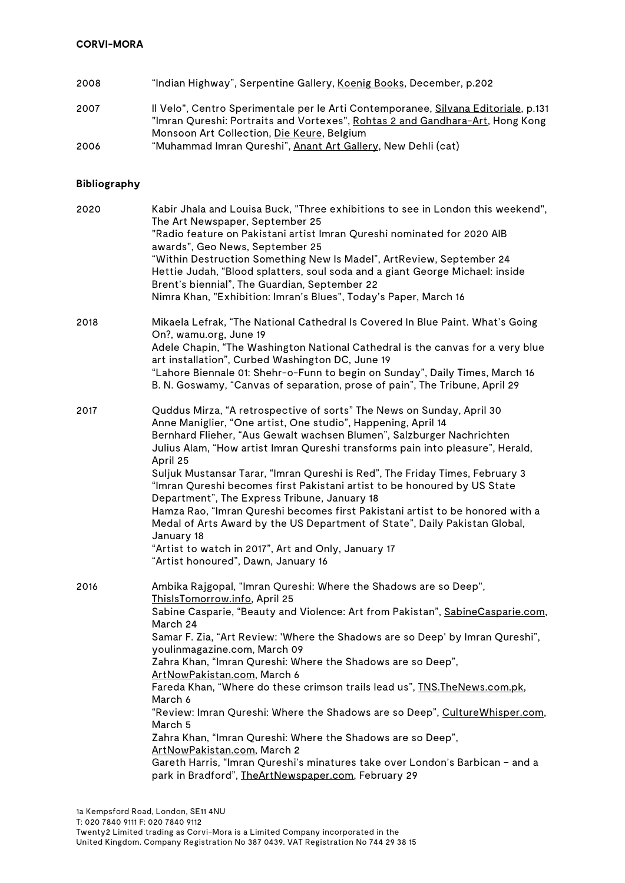- 2008 "Indian Highway", Serpentine Gallery, Koenig Books, December, p.202
- 2007 Il Velo", Centro Sperimentale per le Arti Contemporanee, Silvana Editoriale, p.131 "Imran Qureshi: Portraits and Vortexes", Rohtas 2 and Gandhara-Art, Hong Kong Monsoon Art Collection, Die Keure, Belgium
- 2006 "Muhammad Imran Qureshi", Anant Art Gallery, New Dehli (cat)

### **Bibliography**

| 2020 | Kabir Jhala and Louisa Buck, "Three exhibitions to see in London this weekend",<br>The Art Newspaper, September 25<br>"Radio feature on Pakistani artist Imran Qureshi nominated for 2020 AIB<br>awards", Geo News, September 25<br>"Within Destruction Something New Is Madel", ArtReview, September 24<br>Hettie Judah, "Blood splatters, soul soda and a giant George Michael: inside<br>Brent's biennial", The Guardian, September 22<br>Nimra Khan, "Exhibition: Imran's Blues", Today's Paper, March 16                                                                                                                                                                                                                                                                                                                                   |
|------|-------------------------------------------------------------------------------------------------------------------------------------------------------------------------------------------------------------------------------------------------------------------------------------------------------------------------------------------------------------------------------------------------------------------------------------------------------------------------------------------------------------------------------------------------------------------------------------------------------------------------------------------------------------------------------------------------------------------------------------------------------------------------------------------------------------------------------------------------|
| 2018 | Mikaela Lefrak, "The National Cathedral Is Covered In Blue Paint. What's Going<br>On?, wamu.org, June 19<br>Adele Chapin, "The Washington National Cathedral is the canvas for a very blue<br>art installation", Curbed Washington DC, June 19<br>"Lahore Biennale 01: Shehr-o-Funn to begin on Sunday", Daily Times, March 16<br>B. N. Goswamy, "Canvas of separation, prose of pain", The Tribune, April 29                                                                                                                                                                                                                                                                                                                                                                                                                                   |
| 2017 | Quddus Mirza, "A retrospective of sorts" The News on Sunday, April 30<br>Anne Maniglier, "One artist, One studio", Happening, April 14<br>Bernhard Flieher, "Aus Gewalt wachsen Blumen", Salzburger Nachrichten<br>Julius Alam, "How artist Imran Qureshi transforms pain into pleasure", Herald,<br>April 25<br>Suljuk Mustansar Tarar, "Imran Qureshi is Red", The Friday Times, February 3<br>"Imran Qureshi becomes first Pakistani artist to be honoured by US State<br>Department", The Express Tribune, January 18<br>Hamza Rao, "Imran Qureshi becomes first Pakistani artist to be honored with a<br>Medal of Arts Award by the US Department of State", Daily Pakistan Global,<br>January 18<br>"Artist to watch in 2017", Art and Only, January 17<br>"Artist honoured", Dawn, January 16                                            |
| 2016 | Ambika Rajgopal, "Imran Qureshi: Where the Shadows are so Deep",<br>ThislsTomorrow.info, April 25<br>Sabine Casparie, "Beauty and Violence: Art from Pakistan", SabineCasparie.com,<br>March 24<br>Samar F. Zia, "Art Review: 'Where the Shadows are so Deep' by Imran Qureshi",<br>youlinmagazine.com, March 09<br>Zahra Khan, "Imran Qureshi: Where the Shadows are so Deep",<br><u>ArtNowPakistan.com,</u> March 6<br>Fareda Khan, "Where do these crimson trails lead us", TNS. The News.com.pk,<br>March 6<br>"Review: Imran Qureshi: Where the Shadows are so Deep", CultureWhisper.com,<br>March 5<br>Zahra Khan, "Imran Qureshi: Where the Shadows are so Deep",<br>ArtNowPakistan.com, March 2<br>Gareth Harris, "Imran Qureshi's minatures take over London's Barbican - and a<br>park in Bradford", TheArtNewspaper.com, February 29 |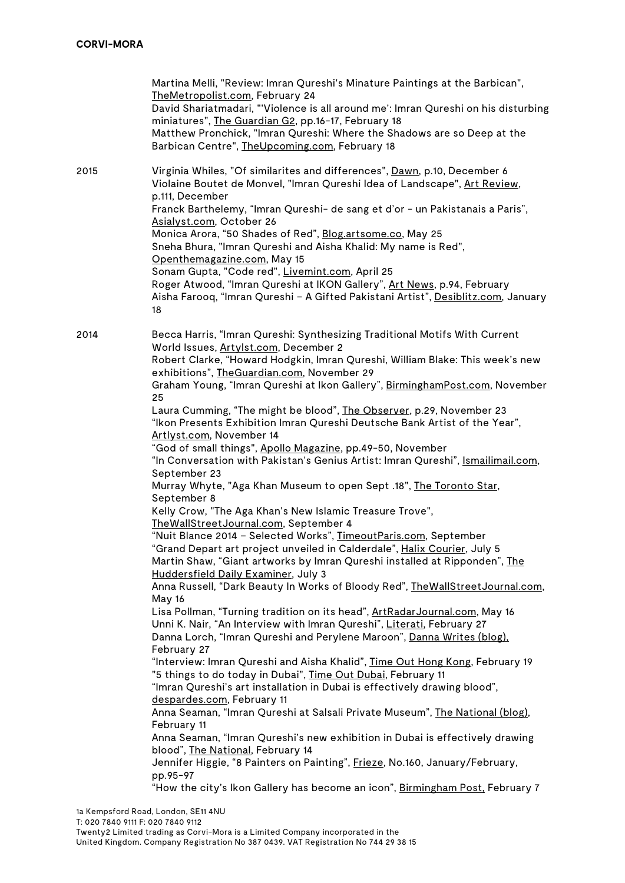|      | Martina Melli, "Review: Imran Qureshi's Minature Paintings at the Barbican",<br>TheMetropolist.com, February 24<br>David Shariatmadari, "'Violence is all around me': Imran Qureshi on his disturbing<br>miniatures", The Guardian G2, pp.16-17, February 18<br>Matthew Pronchick, "Imran Qureshi: Where the Shadows are so Deep at the<br>Barbican Centre", TheUpcoming.com, February 18                                                                                                                                                                                                                                                                                                                                                                                                                                                                                                                                                                                                                                                                                                                                                                                                                                                                                                                                                                                                                                                                                                                                                                                                                                                                                                                                                                                                                                                                                                                                                                                                                                                                                                                                                                                   |
|------|-----------------------------------------------------------------------------------------------------------------------------------------------------------------------------------------------------------------------------------------------------------------------------------------------------------------------------------------------------------------------------------------------------------------------------------------------------------------------------------------------------------------------------------------------------------------------------------------------------------------------------------------------------------------------------------------------------------------------------------------------------------------------------------------------------------------------------------------------------------------------------------------------------------------------------------------------------------------------------------------------------------------------------------------------------------------------------------------------------------------------------------------------------------------------------------------------------------------------------------------------------------------------------------------------------------------------------------------------------------------------------------------------------------------------------------------------------------------------------------------------------------------------------------------------------------------------------------------------------------------------------------------------------------------------------------------------------------------------------------------------------------------------------------------------------------------------------------------------------------------------------------------------------------------------------------------------------------------------------------------------------------------------------------------------------------------------------------------------------------------------------------------------------------------------------|
| 2015 | Virginia Whiles, "Of similarites and differences", Dawn, p.10, December 6<br>Violaine Boutet de Monvel, "Imran Qureshi Idea of Landscape", Art Review,<br>p.111, December<br>Franck Barthelemy, "Imran Qureshi- de sang et d'or - un Pakistanais a Paris",<br>Asialyst.com, October 26<br>Monica Arora, "50 Shades of Red", Blog.artsome.co, May 25<br>Sneha Bhura, "Imran Qureshi and Aisha Khalid: My name is Red",<br>Openthemagazine.com, May 15<br>Sonam Gupta, "Code red", Livemint.com, April 25<br>Roger Atwood, "Imran Qureshi at IKON Gallery", Art News, p.94, February<br>Aisha Farooq, "Imran Qureshi - A Gifted Pakistani Artist", Desiblitz.com, January<br>18                                                                                                                                                                                                                                                                                                                                                                                                                                                                                                                                                                                                                                                                                                                                                                                                                                                                                                                                                                                                                                                                                                                                                                                                                                                                                                                                                                                                                                                                                               |
| 2014 | Becca Harris, "Imran Qureshi: Synthesizing Traditional Motifs With Current<br>World Issues, Artylst.com, December 2<br>Robert Clarke, "Howard Hodgkin, Imran Qureshi, William Blake: This week's new<br>exhibitions", TheGuardian.com, November 29<br>Graham Young, "Imran Qureshi at Ikon Gallery", BirminghamPost.com, November<br>25<br>Laura Cumming, "The might be blood", The Observer, p.29, November 23<br>"Ikon Presents Exhibition Imran Qureshi Deutsche Bank Artist of the Year",<br>Artivst.com, November 14<br>"God of small things", Apollo Magazine, pp.49-50, November<br>"In Conversation with Pakistan's Genius Artist: Imran Qureshi", Ismailimail.com,<br>September 23<br>Murray Whyte, "Aga Khan Museum to open Sept .18", The Toronto Star,<br>September 8<br>Kelly Crow, "The Aga Khan's New Islamic Treasure Trove",<br>TheWallStreetJournal.com, September 4<br>"Nuit Blance 2014 - Selected Works", TimeoutParis.com, September<br>'Grand Depart art project unveiled in Calderdale", <u>Halix Courier</u> , July 5<br>Martin Shaw, "Giant artworks by Imran Qureshi installed at Ripponden", The<br>Huddersfield Daily Examiner, July 3<br>Anna Russell, "Dark Beauty In Works of Bloody Red", TheWallStreetJournal.com,<br>May 16<br>Lisa Pollman, "Turning tradition on its head", ArtRadarJournal.com, May 16<br>Unni K. Nair, "An Interview with Imran Qureshi", Literati, February 27<br>Danna Lorch, "Imran Qureshi and Perylene Maroon", Danna Writes (blog),<br>February 27<br>"Interview: Imran Qureshi and Aisha Khalid", Time Out Hong Kong, February 19<br>"5 things to do today in Dubai", Time Out Dubai, February 11<br>"Imran Qureshi's art installation in Dubai is effectively drawing blood",<br>despardes.com, February 11<br>Anna Seaman, "Imran Qureshi at Salsali Private Museum", The National (blog),<br>February 11<br>Anna Seaman, "Imran Qureshi's new exhibition in Dubai is effectively drawing<br>blood", The National, February 14<br>Jennifer Higgie, "8 Painters on Painting", Frieze, No.160, January/February,<br>pp.95-97<br>"How the city's Ikon Gallery has become an icon", Birmingham Post, February 7 |
|      | 1a Kempsford Road, London, SE11 4NU                                                                                                                                                                                                                                                                                                                                                                                                                                                                                                                                                                                                                                                                                                                                                                                                                                                                                                                                                                                                                                                                                                                                                                                                                                                                                                                                                                                                                                                                                                                                                                                                                                                                                                                                                                                                                                                                                                                                                                                                                                                                                                                                         |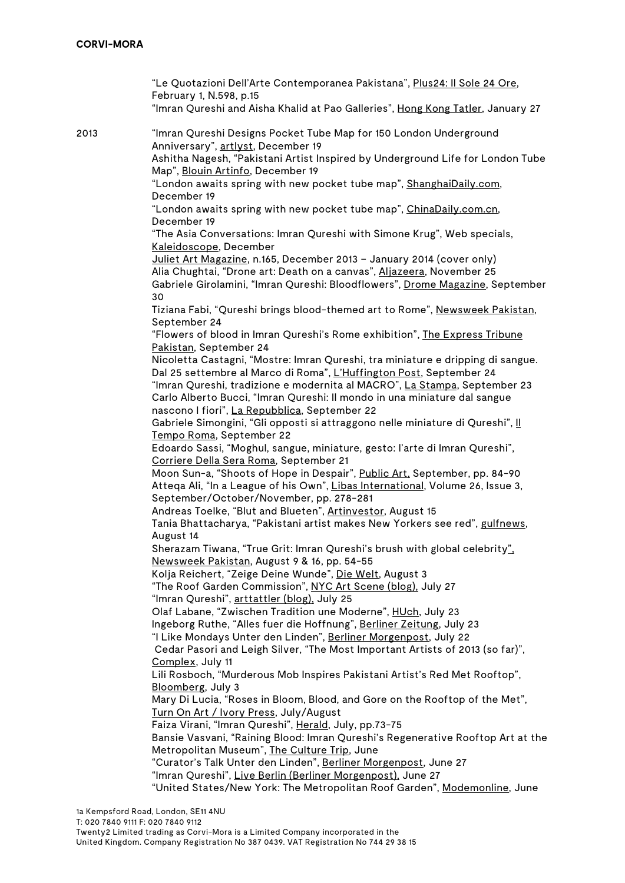"Le Quotazioni Dell'Arte Contemporanea Pakistana", Plus24: Il Sole 24 Ore, February 1, N.598, p.15 "Imran Qureshi and Aisha Khalid at Pao Galleries", Hong Kong Tatler, January 27 2013 "Imran Qureshi Designs Pocket Tube Map for 150 London Underground Anniversary", artlyst, December 19 Ashitha Nagesh, "Pakistani Artist Inspired by Underground Life for London Tube Map", Blouin Artinfo, December 19 "London awaits spring with new pocket tube map", ShanghaiDaily.com, December 19 "London awaits spring with new pocket tube map", ChinaDaily.com.cn, December 19 "The Asia Conversations: Imran Qureshi with Simone Krug", Web specials, Kaleidoscope, December Juliet Art Magazine, n.165, December 2013 – January 2014 (cover only) Alia Chughtai, "Drone art: Death on a canvas", Aljazeera, November 25 Gabriele Girolamini, "Imran Qureshi: Bloodflowers", Drome Magazine, September  $30$ Tiziana Fabi, "Qureshi brings blood-themed art to Rome", Newsweek Pakistan, September 24 "Flowers of blood in Imran Qureshi's Rome exhibition", The Express Tribune Pakistan, September 24 Nicoletta Castagni, "Mostre: Imran Qureshi, tra miniature e dripping di sangue. Dal 25 settembre al Marco di Roma", L'Huffington Post, September 24 "Imran Qureshi, tradizione e modernita al MACRO", La Stampa, September 23 Carlo Alberto Bucci, "Imran Qureshi: Il mondo in una miniature dal sangue nascono I fiori", La Repubblica, September 22 Gabriele Simongini, "Gli opposti si attraggono nelle miniature di Qureshi", Il Tempo Roma, September 22 Edoardo Sassi, "Moghul, sangue, miniature, gesto: l'arte di Imran Qureshi", Corriere Della Sera Roma, September 21 Moon Sun-a, "Shoots of Hope in Despair", Public Art, September, pp. 84-90 Atteqa Ali, "In a League of his Own", Libas International, Volume 26, Issue 3, September/October/November, pp. 278-281 Andreas Toelke, "Blut and Blueten", Artinvestor, August 15 Tania Bhattacharya, "Pakistani artist makes New Yorkers see red", gulfnews, August 14 Sherazam Tiwana, "True Grit: Imran Qureshi's brush with global celebrity", Newsweek Pakistan, August 9 & 16, pp. 54-55 Kolja Reichert, "Zeige Deine Wunde", Die Welt, August 3 "The Roof Garden Commission", NYC Art Scene (blog), July 27 "Imran Qureshi", arttattler (blog), July 25 Olaf Labane, "Zwischen Tradition une Moderne", HUch, July 23 Ingeborg Ruthe, "Alles fuer die Hoffnung", Berliner Zeitung, July 23 "I Like Mondays Unter den Linden", Berliner Morgenpost, July 22 Cedar Pasori and Leigh Silver, "The Most Important Artists of 2013 (so far)", Complex, July 11 Lili Rosboch, "Murderous Mob Inspires Pakistani Artist's Red Met Rooftop", Bloomberg, July 3 Mary Di Lucia, "Roses in Bloom, Blood, and Gore on the Rooftop of the Met", Turn On Art / Ivory Press, July/August Faiza Virani, "Imran Qureshi", Herald, July, pp.73-75 Bansie Vasvani, "Raining Blood: Imran Qureshi's Regenerative Rooftop Art at the Metropolitan Museum", The Culture Trip, June "Curator's Talk Unter den Linden", Berliner Morgenpost, June 27 "Imran Qureshi", Live Berlin (Berliner Morgenpost), June 27 "United States/New York: The Metropolitan Roof Garden", Modemonline, June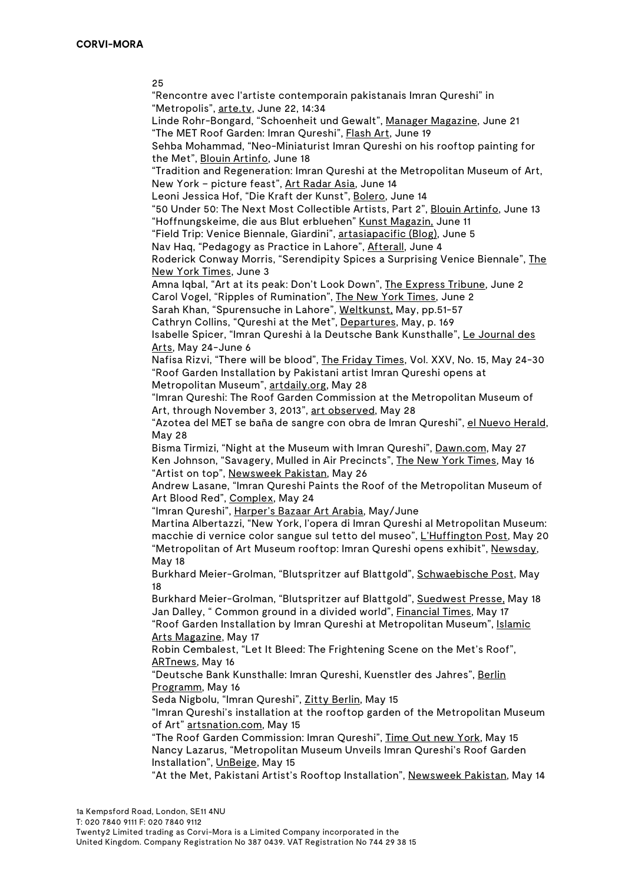25

"Rencontre avec l'artiste contemporain pakistanais Imran Qureshi" in "Metropolis", arte.tv, June 22, 14:34

Linde Rohr-Bongard, "Schoenheit und Gewalt", Manager Magazine, June 21 "The MET Roof Garden: Imran Qureshi", Flash Art, June 19

Sehba Mohammad, "Neo-Miniaturist Imran Qureshi on his rooftop painting for the Met", Blouin Artinfo, June 18

"Tradition and Regeneration: Imran Qureshi at the Metropolitan Museum of Art, New York – picture feast", Art Radar Asia, June 14

Leoni Jessica Hof, "Die Kraft der Kunst", Bolero, June 14

"50 Under 50: The Next Most Collectible Artists, Part 2", Blouin Artinfo, June 13 "Hoffnungskeime, die aus Blut erbluehen" Kunst Magazin, June 11

"Field Trip: Venice Biennale, Giardini", artasiapacific (Blog), June 5

Nav Haq, "Pedagogy as Practice in Lahore", Afterall, June 4

Roderick Conway Morris, "Serendipity Spices a Surprising Venice Biennale", The New York Times, June 3

Amna Iqbal, "Art at its peak: Don't Look Down", The Express Tribune, June 2 Carol Vogel, "Ripples of Rumination", The New York Times, June 2

Sarah Khan, "Spurensuche in Lahore", Weltkunst, May, pp.51-57

Cathryn Collins, "Qureshi at the Met", Departures, May, p. 169

Isabelle Spicer, "Imran Qureshi à la Deutsche Bank Kunsthalle", Le Journal des Arts, May 24-June 6

Nafisa Rizvi, "There will be blood", The Friday Times, Vol. XXV, No. 15, May 24-30 "Roof Garden Installation by Pakistani artist Imran Qureshi opens at Metropolitan Museum", artdaily.org, May 28

"Imran Qureshi: The Roof Garden Commission at the Metropolitan Museum of Art, through November 3, 2013", art observed, May 28

"Azotea del MET se baña de sangre con obra de Imran Qureshi", el Nuevo Herald, May 28

Bisma Tirmizi, "Night at the Museum with Imran Qureshi", Dawn.com, May 27 Ken Johnson, "Savagery, Mulled in Air Precincts", The New York Times, May 16 "Artist on top", Newsweek Pakistan, May 26

Andrew Lasane, "Imran Qureshi Paints the Roof of the Metropolitan Museum of Art Blood Red", Complex, May 24

"Imran Qureshi", Harper's Bazaar Art Arabia, May/June

Martina Albertazzi, "New York, l'opera di Imran Qureshi al Metropolitan Museum: macchie di vernice color sangue sul tetto del museo", L'Huffington Post, May 20 "Metropolitan of Art Museum rooftop: Imran Qureshi opens exhibit", Newsday, May 18

Burkhard Meier-Grolman, "Blutspritzer auf Blattgold", Schwaebische Post, May 18

Burkhard Meier-Grolman, "Blutspritzer auf Blattgold", Suedwest Presse, May 18 Jan Dalley, " Common ground in a divided world", Financial Times, May 17 "Roof Garden Installation by Imran Qureshi at Metropolitan Museum", Islamic Arts Magazine, May 17

Robin Cembalest, "Let It Bleed: The Frightening Scene on the Met's Roof", ARTnews, May 16

"Deutsche Bank Kunsthalle: Imran Qureshi, Kuenstler des Jahres", Berlin Programm, May 16

Seda Nigbolu, "Imran Qureshi", Zitty Berlin, May 15

"Imran Qureshi's installation at the rooftop garden of the Metropolitan Museum of Art" artsnation.com, May 15

"The Roof Garden Commission: Imran Qureshi", Time Out new York, May 15 Nancy Lazarus, "Metropolitan Museum Unveils Imran Qureshi's Roof Garden Installation", UnBeige, May 15

"At the Met, Pakistani Artist's Rooftop Installation", Newsweek Pakistan, May 14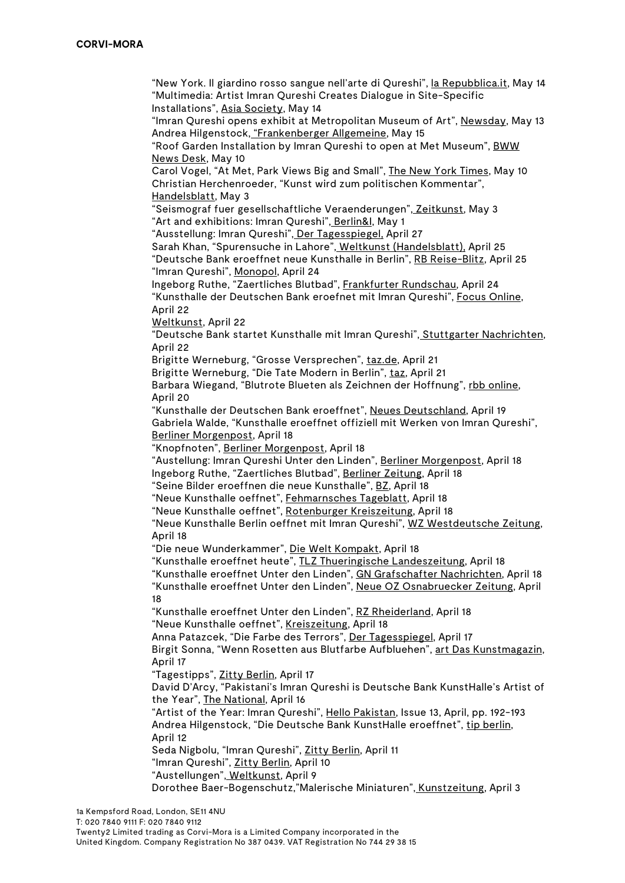"New York. Il giardino rosso sangue nell'arte di Qureshi", la Repubblica.it, May 14 "Multimedia: Artist Imran Qureshi Creates Dialogue in Site-Specific Installations", Asia Society, May 14

"Imran Qureshi opens exhibit at Metropolitan Museum of Art", Newsday, May 13 Andrea Hilgenstock, "Frankenberger Allgemeine, May 15

"Roof Garden Installation by Imran Qureshi to open at Met Museum", BWW News Desk, May 10

Carol Vogel, "At Met, Park Views Big and Small", The New York Times, May 10 Christian Herchenroeder, "Kunst wird zum politischen Kommentar", Handelsblatt, May 3

"Seismograf fuer gesellschaftliche Veraenderungen", Zeitkunst, May 3 "Art and exhibitions: Imran Qureshi", Berlin&I, May 1

"Ausstellung: Imran Qureshi", Der Tagesspiegel, April 27

Sarah Khan, "Spurensuche in Lahore", Weltkunst (Handelsblatt), April 25 "Deutsche Bank eroeffnet neue Kunsthalle in Berlin", RB Reise-Blitz, April 25 "Imran Qureshi", Monopol, April 24

Ingeborg Ruthe, "Zaertliches Blutbad", Frankfurter Rundschau, April 24 "Kunsthalle der Deutschen Bank eroefnet mit Imran Qureshi", Focus Online, April 22

Weltkunst, April 22

"Deutsche Bank startet Kunsthalle mit Imran Qureshi", Stuttgarter Nachrichten, April 22

Brigitte Werneburg, "Grosse Versprechen", taz.de, April 21

Brigitte Werneburg, "Die Tate Modern in Berlin", taz, April 21

Barbara Wiegand, "Blutrote Blueten als Zeichnen der Hoffnung", rbb online, April 20

"Kunsthalle der Deutschen Bank eroeffnet", Neues Deutschland, April 19 Gabriela Walde, "Kunsthalle eroeffnet offiziell mit Werken von Imran Qureshi", Berliner Morgenpost, April 18

"Knopfnoten", Berliner Morgenpost, April 18

"Austellung: Imran Qureshi Unter den Linden", Berliner Morgenpost, April 18 Ingeborg Ruthe, "Zaertliches Blutbad", Berliner Zeitung, April 18

"Seine Bilder eroeffnen die neue Kunsthalle", BZ, April 18

"Neue Kunsthalle oeffnet", Fehmarnsches Tageblatt, April 18

"Neue Kunsthalle oeffnet", Rotenburger Kreiszeitung, April 18

"Neue Kunsthalle Berlin oeffnet mit Imran Qureshi", WZ Westdeutsche Zeitung, April 18

"Die neue Wunderkammer", Die Welt Kompakt, April 18

"Kunsthalle eroeffnet heute", TLZ Thueringische Landeszeitung, April 18

"Kunsthalle eroeffnet Unter den Linden", GN Grafschafter Nachrichten, April 18

"Kunsthalle eroeffnet Unter den Linden", Neue OZ Osnabruecker Zeitung, April 18

"Kunsthalle eroeffnet Unter den Linden", RZ Rheiderland, April 18 "Neue Kunsthalle oeffnet", Kreiszeitung, April 18

Anna Patazcek, "Die Farbe des Terrors", Der Tagesspiegel, April 17 Birgit Sonna, "Wenn Rosetten aus Blutfarbe Aufbluehen", art Das Kunstmagazin,

April 17

"Tagestipps", Zitty Berlin, April 17

David D'Arcy, "Pakistani's Imran Qureshi is Deutsche Bank KunstHalle's Artist of the Year", The National, April 16

"Artist of the Year: Imran Qureshi", Hello Pakistan, Issue 13, April, pp. 192-193 Andrea Hilgenstock, "Die Deutsche Bank KunstHalle eroeffnet", tip berlin, April 12

Seda Nigbolu, "Imran Qureshi", Zitty Berlin, April 11

"Imran Qureshi", Zitty Berlin, April 10

"Austellungen", Weltkunst, April 9

Dorothee Baer-Bogenschutz,"Malerische Miniaturen", Kunstzeitung, April 3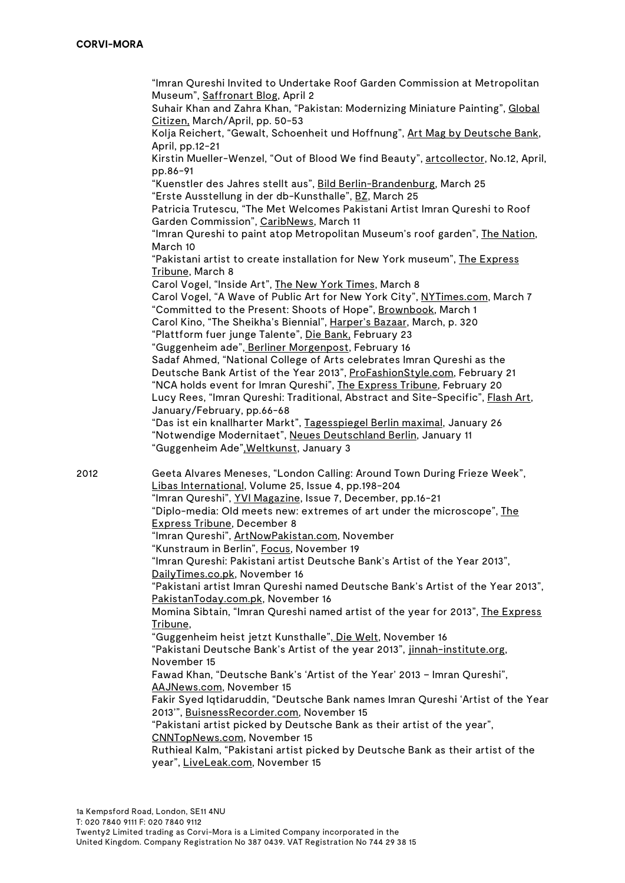"Imran Qureshi Invited to Undertake Roof Garden Commission at Metropolitan Museum", Saffronart Blog, April 2 Suhair Khan and Zahra Khan, "Pakistan: Modernizing Miniature Painting", Global Citizen, March/April, pp. 50-53 Kolja Reichert, "Gewalt, Schoenheit und Hoffnung", Art Mag by Deutsche Bank, April, pp.12-21 Kirstin Mueller-Wenzel, "Out of Blood We find Beauty", artcollector, No.12, April, pp.86-91 "Kuenstler des Jahres stellt aus", Bild Berlin-Brandenburg, March 25 "Erste Ausstellung in der db-Kunsthalle", BZ, March 25 Patricia Trutescu, "The Met Welcomes Pakistani Artist Imran Qureshi to Roof Garden Commission", CaribNews, March 11 "Imran Qureshi to paint atop Metropolitan Museum's roof garden", The Nation, March 10 "Pakistani artist to create installation for New York museum", The Express Tribune, March 8 Carol Vogel, "Inside Art", The New York Times, March 8 Carol Vogel, "A Wave of Public Art for New York City", NYTimes.com, March 7 "Committed to the Present: Shoots of Hope", Brownbook, March 1 Carol Kino, "The Sheikha's Biennial", Harper's Bazaar, March, p. 320 "Plattform fuer junge Talente", Die Bank, February 23 "Guggenheim ade", Berliner Morgenpost, February 16 Sadaf Ahmed, "National College of Arts celebrates Imran Qureshi as the Deutsche Bank Artist of the Year 2013", ProFashionStyle.com, February 21 "NCA holds event for Imran Qureshi", The Express Tribune, February 20 Lucy Rees, "Imran Qureshi: Traditional, Abstract and Site-Specific", Flash Art, January/February, pp.66-68 "Das ist ein knallharter Markt", Tagesspiegel Berlin maximal, January 26 "Notwendige Modernitaet", Neues Deutschland Berlin, January 11 "Guggenheim Ade",Weltkunst, January 3 2012 Geeta Alvares Meneses, "London Calling: Around Town During Frieze Week", Libas International, Volume 25, Issue 4, pp.198-204 "Imran Qureshi", YVI Magazine, Issue 7, December, pp.16-21 "Diplo-media: Old meets new: extremes of art under the microscope", The Express Tribune, December 8 "Imran Qureshi", ArtNowPakistan.com, November "Kunstraum in Berlin", Focus, November 19 "Imran Qureshi: Pakistani artist Deutsche Bank's Artist of the Year 2013", DailyTimes.co.pk, November 16 "Pakistani artist Imran Qureshi named Deutsche Bank's Artist of the Year 2013", PakistanToday.com.pk, November 16 Momina Sibtain, "Imran Qureshi named artist of the year for 2013", The Express Tribune, "Guggenheim heist jetzt Kunsthalle", Die Welt, November 16 "Pakistani Deutsche Bank's Artist of the year 2013", jinnah-institute.org, November 15 Fawad Khan, "Deutsche Bank's 'Artist of the Year' 2013 – Imran Qureshi", AAJNews.com, November 15 Fakir Syed Iqtidaruddin, "Deutsche Bank names Imran Qureshi 'Artist of the Year 2013'", BuisnessRecorder.com, November 15 "Pakistani artist picked by Deutsche Bank as their artist of the year", CNNTopNews.com, November 15 Ruthieal Kalm, "Pakistani artist picked by Deutsche Bank as their artist of the year", LiveLeak.com, November 15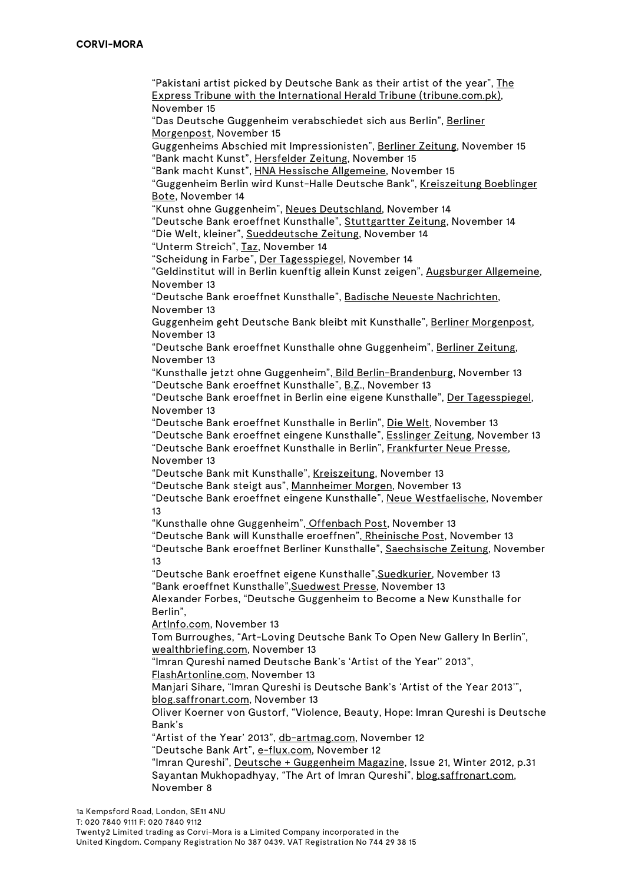"Pakistani artist picked by Deutsche Bank as their artist of the year", The Express Tribune with the International Herald Tribune (tribune.com.pk), November 15

"Das Deutsche Guggenheim verabschiedet sich aus Berlin", Berliner Morgenpost, November 15

Guggenheims Abschied mit Impressionisten", Berliner Zeitung, November 15 "Bank macht Kunst", Hersfelder Zeitung, November 15

"Bank macht Kunst", HNA Hessische Allgemeine, November 15

"Guggenheim Berlin wird Kunst-Halle Deutsche Bank", Kreiszeitung Boeblinger Bote, November 14

"Kunst ohne Guggenheim", Neues Deutschland, November 14

"Deutsche Bank eroeffnet Kunsthalle", Stuttgartter Zeitung, November 14

"Die Welt, kleiner", Sueddeutsche Zeitung, November 14

"Unterm Streich", Taz, November 14

"Scheidung in Farbe", Der Tagesspiegel, November 14

"Geldinstitut will in Berlin kuenftig allein Kunst zeigen", Augsburger Allgemeine, November 13

"Deutsche Bank eroeffnet Kunsthalle", Badische Neueste Nachrichten, November 13

Guggenheim geht Deutsche Bank bleibt mit Kunsthalle", Berliner Morgenpost, November 13

"Deutsche Bank eroeffnet Kunsthalle ohne Guggenheim", Berliner Zeitung, November 13

"Kunsthalle jetzt ohne Guggenheim", Bild Berlin-Brandenburg, November 13 "Deutsche Bank eroeffnet Kunsthalle", B.Z., November 13

"Deutsche Bank eroeffnet in Berlin eine eigene Kunsthalle", Der Tagesspiegel, November 13

"Deutsche Bank eroeffnet Kunsthalle in Berlin", Die Welt, November 13

"Deutsche Bank eroeffnet eingene Kunsthalle", Esslinger Zeitung, November 13 "Deutsche Bank eroeffnet Kunsthalle in Berlin", Frankfurter Neue Presse,

November 13

"Deutsche Bank mit Kunsthalle", Kreiszeitung, November 13

"Deutsche Bank steigt aus", Mannheimer Morgen, November 13

"Deutsche Bank eroeffnet eingene Kunsthalle", Neue Westfaelische, November 13

"Kunsthalle ohne Guggenheim", Offenbach Post, November 13

"Deutsche Bank will Kunsthalle eroeffnen", Rheinische Post, November 13

"Deutsche Bank eroeffnet Berliner Kunsthalle", Saechsische Zeitung, November 13

"Deutsche Bank eroeffnet eigene Kunsthalle",Suedkurier, November 13 "Bank eroeffnet Kunsthalle",Suedwest Presse, November 13

Alexander Forbes, "Deutsche Guggenheim to Become a New Kunsthalle for Berlin",

ArtInfo.com, November 13

Tom Burroughes, "Art-Loving Deutsche Bank To Open New Gallery In Berlin", wealthbriefing.com, November 13

"Imran Qureshi named Deutsche Bank's 'Artist of the Year'' 2013",

FlashArtonline.com, November 13

Manjari Sihare, "Imran Qureshi is Deutsche Bank's 'Artist of the Year 2013'", blog.saffronart.com, November 13

Oliver Koerner von Gustorf, "Violence, Beauty, Hope: Imran Qureshi is Deutsche Bank's

"Artist of the Year' 2013", db-artmag.com, November 12

"Deutsche Bank Art", e-flux.com, November 12

"Imran Qureshi", Deutsche + Guggenheim Magazine, Issue 21, Winter 2012, p.31 Sayantan Mukhopadhyay, "The Art of Imran Qureshi", blog.saffronart.com, November 8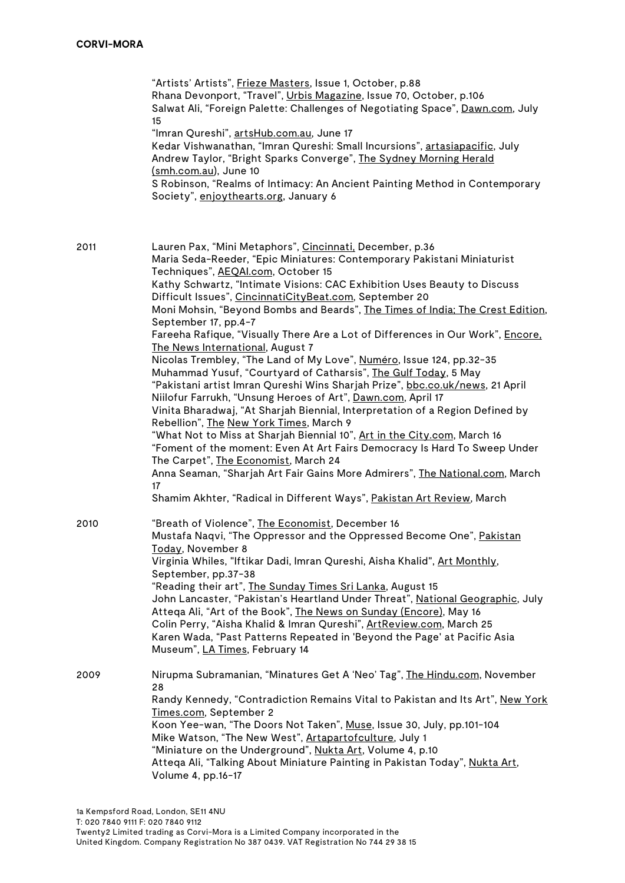"Artists' Artists", Frieze Masters, Issue 1, October, p.88 Rhana Devonport, "Travel", Urbis Magazine, Issue 70, October, p.106 Salwat Ali, "Foreign Palette: Challenges of Negotiating Space", Dawn.com, July 15 "Imran Qureshi", artsHub.com.au, June 17 Kedar Vishwanathan, "Imran Qureshi: Small Incursions", artasiapacific, July Andrew Taylor, "Bright Sparks Converge", The Sydney Morning Herald (smh.com.au), June 10 S Robinson, "Realms of Intimacy: An Ancient Painting Method in Contemporary Society", enjoythearts.org, January 6 2011 Lauren Pax, "Mini Metaphors", Cincinnati, December, p.36 Maria Seda-Reeder, "Epic Miniatures: Contemporary Pakistani Miniaturist Techniques", AEQAI.com, October 15 Kathy Schwartz, "Intimate Visions: CAC Exhibition Uses Beauty to Discuss Difficult Issues", CincinnatiCityBeat.com, September 20 Moni Mohsin, "Beyond Bombs and Beards", The Times of India; The Crest Edition, September 17, pp.4-7 Fareeha Rafique, "Visually There Are a Lot of Differences in Our Work", Encore, The News International, August 7 Nicolas Trembley, "The Land of My Love", Numéro, Issue 124, pp.32-35 Muhammad Yusuf, "Courtyard of Catharsis", The Gulf Today, 5 May "Pakistani artist Imran Qureshi Wins Sharjah Prize", bbc.co.uk/news, 21 April Niilofur Farrukh, "Unsung Heroes of Art", Dawn.com, April 17 Vinita Bharadwaj, "At Sharjah Biennial, Interpretation of a Region Defined by Rebellion", The New York Times, March 9 "What Not to Miss at Sharjah Biennial 10", Art in the City.com, March 16 "Foment of the moment: Even At Art Fairs Democracy Is Hard To Sweep Under The Carpet", The Economist, March 24 Anna Seaman, "Sharjah Art Fair Gains More Admirers", The National.com, March 17 Shamim Akhter, "Radical in Different Ways", Pakistan Art Review, March 2010 "Breath of Violence", The Economist, December 16 Mustafa Naqvi, "The Oppressor and the Oppressed Become One", Pakistan Today, November 8 Virginia Whiles, "Iftikar Dadi, Imran Qureshi, Aisha Khalid", Art Monthly, September, pp.37-38 "Reading their art", The Sunday Times Sri Lanka, August 15 John Lancaster, "Pakistan's Heartland Under Threat", National Geographic, July Atteqa Ali, "Art of the Book", The News on Sunday (Encore), May 16 Colin Perry, "Aisha Khalid & Imran Qureshi", ArtReview.com, March 25 Karen Wada, "Past Patterns Repeated in 'Beyond the Page' at Pacific Asia Museum", LA Times, February 14 2009 Nirupma Subramanian, "Minatures Get A 'Neo' Tag", The Hindu.com, November 28 Randy Kennedy, "Contradiction Remains Vital to Pakistan and Its Art", New York Times.com, September 2 Koon Yee-wan, "The Doors Not Taken", Muse, Issue 30, July, pp.101-104 Mike Watson, "The New West", Artapartofculture, July 1 "Miniature on the Underground", Nukta Art, Volume 4, p.10 Atteqa Ali, "Talking About Miniature Painting in Pakistan Today", Nukta Art, Volume 4, pp.16-17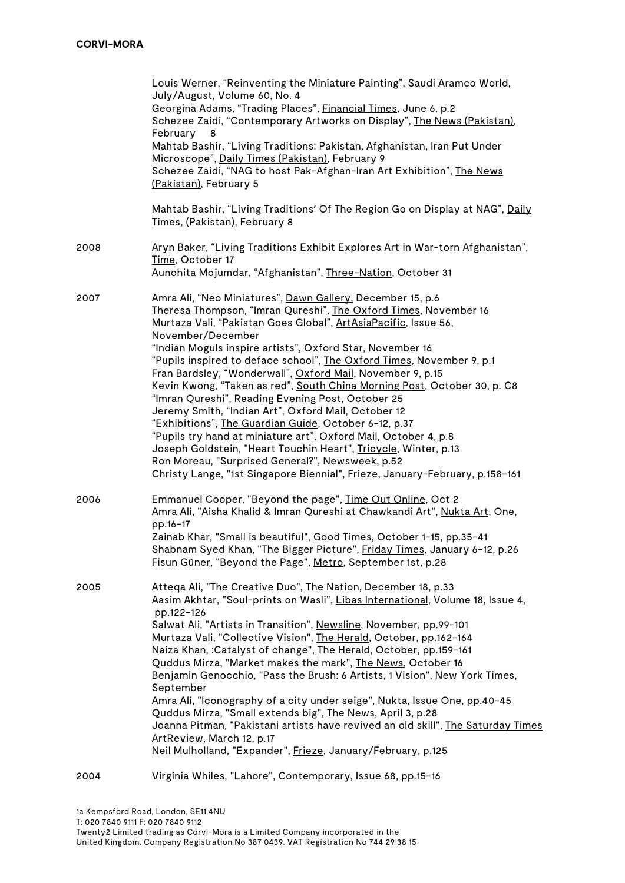|      | Louis Werner, "Reinventing the Miniature Painting", Saudi Aramco World,<br>July/August, Volume 60, No. 4<br>Georgina Adams, "Trading Places", Financial Times, June 6, p.2<br>Schezee Zaidi, "Contemporary Artworks on Display", The News (Pakistan),<br>February<br>8<br>Mahtab Bashir, "Living Traditions: Pakistan, Afghanistan, Iran Put Under<br>Microscope", Daily Times (Pakistan), February 9<br>Schezee Zaidi, "NAG to host Pak-Afghan-Iran Art Exhibition", The News<br>(Pakistan), February 5                                                                                                                                                                                                                                                                                                                                                                                                                                              |
|------|-------------------------------------------------------------------------------------------------------------------------------------------------------------------------------------------------------------------------------------------------------------------------------------------------------------------------------------------------------------------------------------------------------------------------------------------------------------------------------------------------------------------------------------------------------------------------------------------------------------------------------------------------------------------------------------------------------------------------------------------------------------------------------------------------------------------------------------------------------------------------------------------------------------------------------------------------------|
|      | Mahtab Bashir, "Living Traditions' Of The Region Go on Display at NAG", Daily<br>Times, (Pakistan), February 8                                                                                                                                                                                                                                                                                                                                                                                                                                                                                                                                                                                                                                                                                                                                                                                                                                        |
| 2008 | Aryn Baker, "Living Traditions Exhibit Explores Art in War-torn Afghanistan",<br>Time, October 17<br>Aunohita Mojumdar, "Afghanistan", Three-Nation, October 31                                                                                                                                                                                                                                                                                                                                                                                                                                                                                                                                                                                                                                                                                                                                                                                       |
| 2007 | Amra Ali, "Neo Miniatures", Dawn Gallery, December 15, p.6<br>Theresa Thompson, "Imran Qureshi", The Oxford Times, November 16<br>Murtaza Vali, "Pakistan Goes Global", ArtAsiaPacific, Issue 56,<br>November/December<br>"Indian Moguls inspire artists", Oxford Star, November 16<br>"Pupils inspired to deface school", The Oxford Times, November 9, p.1<br>Fran Bardsley, "Wonderwall", Oxford Mail, November 9, p.15<br>Kevin Kwong, "Taken as red", South China Morning Post, October 30, p. C8<br>"Imran Qureshi", Reading Evening Post, October 25<br>Jeremy Smith, "Indian Art", Oxford Mail, October 12<br>"Exhibitions", The Guardian Guide, October 6-12, p.37<br>"Pupils try hand at miniature art", Oxford Mail, October 4, p.8<br>Joseph Goldstein, "Heart Touchin Heart", Tricycle, Winter, p.13<br>Ron Moreau, "Surprised General?", Newsweek, p.52<br>Christy Lange, "1st Singapore Biennial", Frieze, January-February, p.158-161 |
| 2006 | Emmanuel Cooper, "Beyond the page", Time Out Online, Oct 2<br>Amra Ali, "Aisha Khalid & Imran Qureshi at Chawkandi Art", Nukta Art, One,<br>pp.16-17<br>Zainab Khar, "Small is beautiful", Good Times, October 1-15, pp.35-41<br>Shabnam Syed Khan, "The Bigger Picture", Friday Times, January 6-12, p.26<br>Fisun Güner, "Beyond the Page", Metro, September 1st, p.28                                                                                                                                                                                                                                                                                                                                                                                                                                                                                                                                                                              |
| 2005 | Atteqa Ali, "The Creative Duo", The Nation, December 18, p.33<br>Aasim Akhtar, "Soul-prints on Wasli", Libas International, Volume 18, Issue 4,<br>pp.122-126<br>Salwat Ali, "Artists in Transition", Newsline, November, pp.99-101<br>Murtaza Vali, "Collective Vision", The Herald, October, pp.162-164<br>Naiza Khan, :Catalyst of change", The Herald, October, pp.159-161<br>Quddus Mirza, "Market makes the mark", The News, October 16<br>Benjamin Genocchio, "Pass the Brush: 6 Artists, 1 Vision", New York Times,<br>September<br>Amra Ali, "Iconography of a city under seige", Nukta, Issue One, pp.40-45<br>Quddus Mirza, "Small extends big", The News, April 3, p.28<br>Joanna Pitman, "Pakistani artists have revived an old skill", The Saturday Times<br>ArtReview, March 12, p.17<br>Neil Mulholland, "Expander", Frieze, January/February, p.125                                                                                  |
| 2004 | Virginia Whiles, "Lahore", Contemporary, Issue 68, pp.15-16                                                                                                                                                                                                                                                                                                                                                                                                                                                                                                                                                                                                                                                                                                                                                                                                                                                                                           |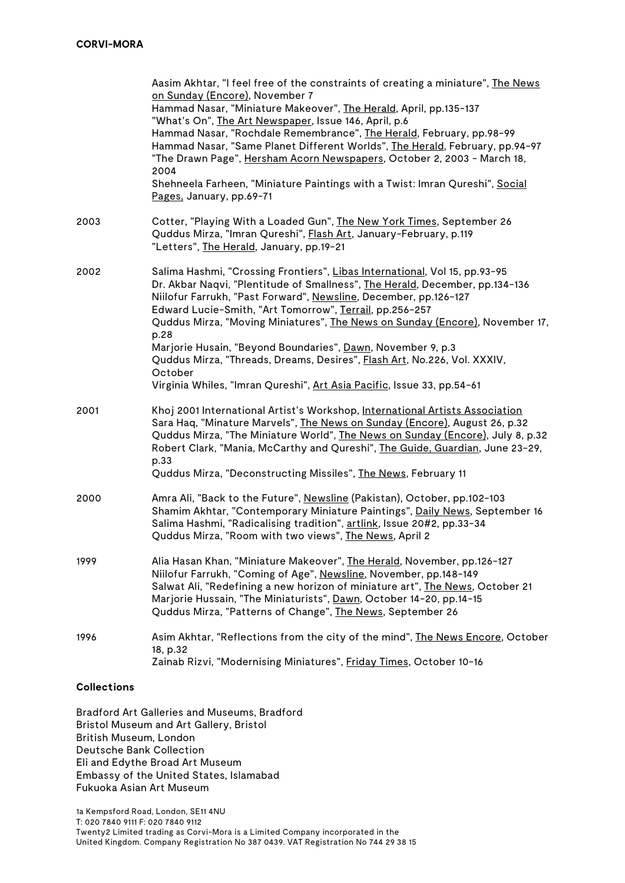|      | Aasim Akhtar, "I feel free of the constraints of creating a miniature", The News<br>on Sunday (Encore), November 7<br>Hammad Nasar, "Miniature Makeover", The Herald, April, pp.135-137<br>"What's On", The Art Newspaper, Issue 146, April, p.6<br>Hammad Nasar, "Rochdale Remembrance", The Herald, February, pp.98-99<br>Hammad Nasar, "Same Planet Different Worlds", The Herald, February, pp.94-97<br>"The Drawn Page", Hersham Acorn Newspapers, October 2, 2003 - March 18,<br>2004                                             |
|------|-----------------------------------------------------------------------------------------------------------------------------------------------------------------------------------------------------------------------------------------------------------------------------------------------------------------------------------------------------------------------------------------------------------------------------------------------------------------------------------------------------------------------------------------|
|      | Shehneela Farheen, "Miniature Paintings with a Twist: Imran Qureshi", Social<br>Pages, January, pp.69-71                                                                                                                                                                                                                                                                                                                                                                                                                                |
| 2003 | Cotter, "Playing With a Loaded Gun", The New York Times, September 26<br>Quddus Mirza, "Imran Qureshi", Flash Art, January-February, p.119<br>"Letters", The Herald, January, pp.19-21                                                                                                                                                                                                                                                                                                                                                  |
| 2002 | Salima Hashmi, "Crossing Frontiers", Libas International, Vol 15, pp.93-95<br>Dr. Akbar Naqvi, "Plentitude of Smallness", The Herald, December, pp.134-136<br>Niilofur Farrukh, "Past Forward", Newsline, December, pp.126-127<br>Edward Lucie-Smith, "Art Tomorrow", Terrail, pp.256-257<br>Quddus Mirza, "Moving Miniatures", The News on Sunday (Encore), November 17,<br>p.28<br>Marjorie Husain, "Beyond Boundaries", Dawn, November 9, p.3<br>Quddus Mirza, "Threads, Dreams, Desires", Flash Art, No.226, Vol. XXXIV,<br>October |
|      | Virginia Whiles, "Imran Qureshi", Art Asia Pacific, Issue 33, pp.54-61                                                                                                                                                                                                                                                                                                                                                                                                                                                                  |
| 2001 | Khoj 2001 International Artist's Workshop, International Artists Association<br>Sara Haq, "Minature Marvels", The News on Sunday (Encore), August 26, p.32<br>Quddus Mirza, "The Miniature World", The News on Sunday (Encore), July 8, p.32<br>Robert Clark, "Mania, McCarthy and Qureshi", The Guide, Guardian, June 23-29,<br>p.33<br>Quddus Mirza, "Deconstructing Missiles", The News, February 11                                                                                                                                 |
| 2000 | Amra Ali, "Back to the Future", Newsline (Pakistan), October, pp.102-103<br>Shamim Akhtar, "Contemporary Miniature Paintings", Daily News, September 16<br>Salima Hashmi, "Radicalising tradition", artlink, Issue 20#2, pp.33-34<br>Quddus Mirza, "Room with two views", The News, April 2                                                                                                                                                                                                                                             |
| 1999 | Alia Hasan Khan, "Miniature Makeover", The Herald, November, pp.126-127<br>Niilofur Farrukh, "Coming of Age", Newsline, November, pp.148-149<br>Salwat Ali, "Redefining a new horizon of miniature art", The News, October 21<br>Marjorie Hussain, "The Miniaturists", Dawn, October 14-20, pp.14-15<br>Quddus Mirza, "Patterns of Change", The News, September 26                                                                                                                                                                      |
| 1996 | Asim Akhtar, "Reflections from the city of the mind", The News Encore, October<br>18, p.32<br>Zainab Rizvi, "Modernising Miniatures", Friday Times, October 10-16                                                                                                                                                                                                                                                                                                                                                                       |

## **Collections**

Bradford Art Galleries and Museums, Bradford Bristol Museum and Art Gallery, Bristol British Museum, London Deutsche Bank Collection Eli and Edythe Broad Art Museum Embassy of the United States, Islamabad Fukuoka Asian Art Museum